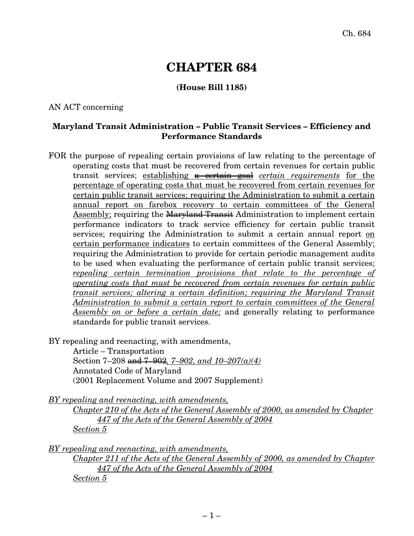# **CHAPTER 684**

## **(House Bill 1185)**

#### AN ACT concerning

## **Maryland Transit Administration – Public Transit Services – Efficiency and Performance Standards**

FOR the purpose of repealing certain provisions of law relating to the percentage of operating costs that must be recovered from certain revenues for certain public transit services; establishing a certain goal *certain requirements* for the percentage of operating costs that must be recovered from certain revenues for certain public transit services; requiring the Administration to submit a certain annual report on farebox recovery to certain committees of the General Assembly; requiring the Maryland Transit Administration to implement certain performance indicators to track service efficiency for certain public transit services; requiring the Administration to submit a certain annual report on certain performance indicators to certain committees of the General Assembly; requiring the Administration to provide for certain periodic management audits to be used when evaluating the performance of certain public transit services; *repealing certain termination provisions that relate to the percentage of operating costs that must be recovered from certain revenues for certain public transit services; altering a certain definition; requiring the Maryland Transit Administration to submit a certain report to certain committees of the General Assembly on or before a certain date;* and generally relating to performance standards for public transit services.

BY repealing and reenacting, with amendments,

Article – Transportation Section 7–208 and 7–902*, 7–902, and 10–207(a)(4)* Annotated Code of Maryland (2001 Replacement Volume and 2007 Supplement)

*BY repealing and reenacting, with amendments,*

*Chapter 210 of the Acts of the General Assembly of 2000, as amended by Chapter 447 of the Acts of the General Assembly of 2004 Section 5*

*BY repealing and reenacting, with amendments,*

*Chapter 211 of the Acts of the General Assembly of 2000, as amended by Chapter 447 of the Acts of the General Assembly of 2004 Section 5*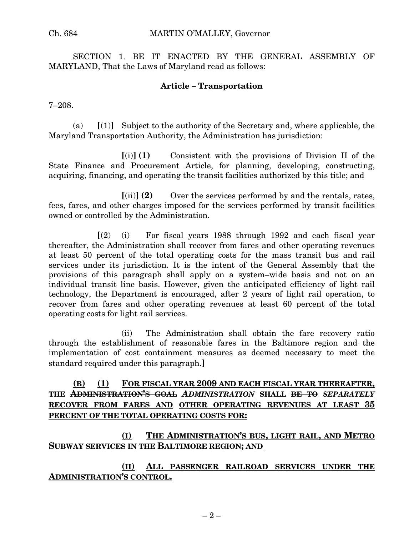SECTION 1. BE IT ENACTED BY THE GENERAL ASSEMBLY OF MARYLAND, That the Laws of Maryland read as follows:

#### **Article – Transportation**

7–208.

(a) **[**(1)**]** Subject to the authority of the Secretary and, where applicable, the Maryland Transportation Authority, the Administration has jurisdiction:

**[**(i)**] (1)** Consistent with the provisions of Division II of the State Finance and Procurement Article, for planning, developing, constructing, acquiring, financing, and operating the transit facilities authorized by this title; and

**[**(ii)**] (2)** Over the services performed by and the rentals, rates, fees, fares, and other charges imposed for the services performed by transit facilities owned or controlled by the Administration.

**[**(2) (i) For fiscal years 1988 through 1992 and each fiscal year thereafter, the Administration shall recover from fares and other operating revenues at least 50 percent of the total operating costs for the mass transit bus and rail services under its jurisdiction. It is the intent of the General Assembly that the provisions of this paragraph shall apply on a system–wide basis and not on an individual transit line basis. However, given the anticipated efficiency of light rail technology, the Department is encouraged, after 2 years of light rail operation, to recover from fares and other operating revenues at least 60 percent of the total operating costs for light rail services.

(ii) The Administration shall obtain the fare recovery ratio through the establishment of reasonable fares in the Baltimore region and the implementation of cost containment measures as deemed necessary to meet the standard required under this paragraph.**]**

# **(B) (1) FOR FISCAL YEAR 2009 AND EACH FISCAL YEAR THEREAFTER, THE ADMINISTRATION'S GOAL** *ADMINISTRATION* **SHALL BE TO** *SEPARATELY* **RECOVER FROM FARES AND OTHER OPERATING REVENUES AT LEAST 35 PERCENT OF THE TOTAL OPERATING COSTS FOR:**

# **(I) THE ADMINISTRATION'S BUS, LIGHT RAIL, AND METRO SUBWAY SERVICES IN THE BALTIMORE REGION; AND**

**(II) ALL PASSENGER RAILROAD SERVICES UNDER THE ADMINISTRATION'S CONTROL.**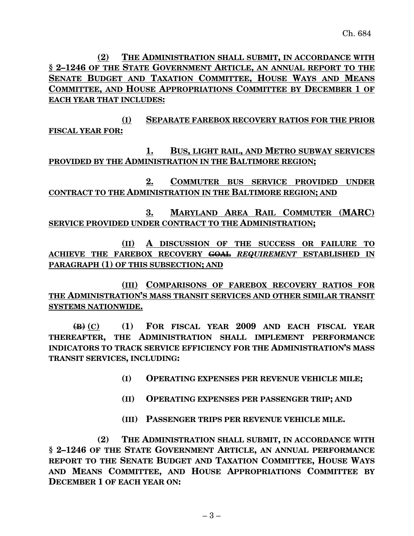**(2) THE ADMINISTRATION SHALL SUBMIT, IN ACCORDANCE WITH § 2–1246 OF THE STATE GOVERNMENT ARTICLE, AN ANNUAL REPORT TO THE SENATE BUDGET AND TAXATION COMMITTEE, HOUSE WAYS AND MEANS COMMITTEE, AND HOUSE APPROPRIATIONS COMMITTEE BY DECEMBER 1 OF EACH YEAR THAT INCLUDES:**

**(I) SEPARATE FAREBOX RECOVERY RATIOS FOR THE PRIOR FISCAL YEAR FOR:**

**1. BUS, LIGHT RAIL, AND METRO SUBWAY SERVICES PROVIDED BY THE ADMINISTRATION IN THE BALTIMORE REGION;**

**2. COMMUTER BUS SERVICE PROVIDED UNDER CONTRACT TO THE ADMINISTRATION IN THE BALTIMORE REGION; AND**

**3. MARYLAND AREA RAIL COMMUTER (MARC) SERVICE PROVIDED UNDER CONTRACT TO THE ADMINISTRATION;**

**(II) A DISCUSSION OF THE SUCCESS OR FAILURE TO ACHIEVE THE FAREBOX RECOVERY GOAL** *REQUIREMENT* **ESTABLISHED IN PARAGRAPH (1) OF THIS SUBSECTION; AND**

**(III) COMPARISONS OF FAREBOX RECOVERY RATIOS FOR THE ADMINISTRATION'S MASS TRANSIT SERVICES AND OTHER SIMILAR TRANSIT SYSTEMS NATIONWIDE.**

**(B) (C) (1) FOR FISCAL YEAR 2009 AND EACH FISCAL YEAR THEREAFTER, THE ADMINISTRATION SHALL IMPLEMENT PERFORMANCE INDICATORS TO TRACK SERVICE EFFICIENCY FOR THE ADMINISTRATION'S MASS TRANSIT SERVICES, INCLUDING:**

- **(I) OPERATING EXPENSES PER REVENUE VEHICLE MILE;**
- **(II) OPERATING EXPENSES PER PASSENGER TRIP; AND**
- **(III) PASSENGER TRIPS PER REVENUE VEHICLE MILE.**

**(2) THE ADMINISTRATION SHALL SUBMIT, IN ACCORDANCE WITH § 2–1246 OF THE STATE GOVERNMENT ARTICLE, AN ANNUAL PERFORMANCE REPORT TO THE SENATE BUDGET AND TAXATION COMMITTEE, HOUSE WAYS AND MEANS COMMITTEE, AND HOUSE APPROPRIATIONS COMMITTEE BY DECEMBER 1 OF EACH YEAR ON:**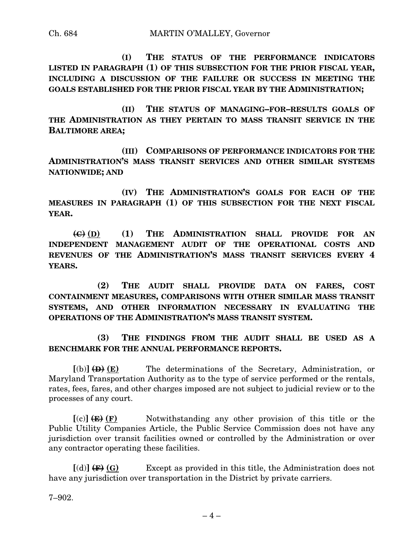**(I) THE STATUS OF THE PERFORMANCE INDICATORS LISTED IN PARAGRAPH (1) OF THIS SUBSECTION FOR THE PRIOR FISCAL YEAR, INCLUDING A DISCUSSION OF THE FAILURE OR SUCCESS IN MEETING THE GOALS ESTABLISHED FOR THE PRIOR FISCAL YEAR BY THE ADMINISTRATION;**

**(II) THE STATUS OF MANAGING–FOR–RESULTS GOALS OF THE ADMINISTRATION AS THEY PERTAIN TO MASS TRANSIT SERVICE IN THE BALTIMORE AREA;**

**(III) COMPARISONS OF PERFORMANCE INDICATORS FOR THE ADMINISTRATION'S MASS TRANSIT SERVICES AND OTHER SIMILAR SYSTEMS NATIONWIDE; AND**

**(IV) THE ADMINISTRATION'S GOALS FOR EACH OF THE MEASURES IN PARAGRAPH (1) OF THIS SUBSECTION FOR THE NEXT FISCAL YEAR.**

**(C) (D) (1) THE ADMINISTRATION SHALL PROVIDE FOR AN INDEPENDENT MANAGEMENT AUDIT OF THE OPERATIONAL COSTS AND REVENUES OF THE ADMINISTRATION'S MASS TRANSIT SERVICES EVERY 4 YEARS.**

**(2) THE AUDIT SHALL PROVIDE DATA ON FARES, COST CONTAINMENT MEASURES, COMPARISONS WITH OTHER SIMILAR MASS TRANSIT SYSTEMS, AND OTHER INFORMATION NECESSARY IN EVALUATING THE OPERATIONS OF THE ADMINISTRATION'S MASS TRANSIT SYSTEM.**

**(3) THE FINDINGS FROM THE AUDIT SHALL BE USED AS A BENCHMARK FOR THE ANNUAL PERFORMANCE REPORTS.**

 $[(b)] \leftrightarrow (E)$  The determinations of the Secretary, Administration, or Maryland Transportation Authority as to the type of service performed or the rentals, rates, fees, fares, and other charges imposed are not subject to judicial review or to the processes of any court.

 $[(c)] \leftarrow (F)$  Notwithstanding any other provision of this title or the Public Utility Companies Article, the Public Service Commission does not have any jurisdiction over transit facilities owned or controlled by the Administration or over any contractor operating these facilities.

**[**(d)**] (F) (G)** Except as provided in this title, the Administration does not have any jurisdiction over transportation in the District by private carriers.

7–902.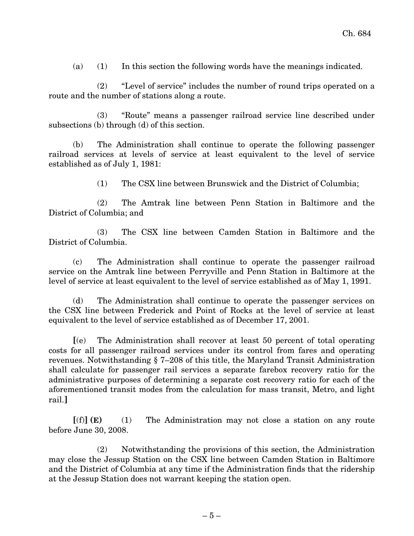(a) (1) In this section the following words have the meanings indicated.

(2) "Level of service" includes the number of round trips operated on a route and the number of stations along a route.

(3) "Route" means a passenger railroad service line described under subsections (b) through (d) of this section.

(b) The Administration shall continue to operate the following passenger railroad services at levels of service at least equivalent to the level of service established as of July 1, 1981:

(1) The CSX line between Brunswick and the District of Columbia;

(2) The Amtrak line between Penn Station in Baltimore and the District of Columbia; and

(3) The CSX line between Camden Station in Baltimore and the District of Columbia.

(c) The Administration shall continue to operate the passenger railroad service on the Amtrak line between Perryville and Penn Station in Baltimore at the level of service at least equivalent to the level of service established as of May 1, 1991.

(d) The Administration shall continue to operate the passenger services on the CSX line between Frederick and Point of Rocks at the level of service at least equivalent to the level of service established as of December 17, 2001.

**[**(e) The Administration shall recover at least 50 percent of total operating costs for all passenger railroad services under its control from fares and operating revenues. Notwithstanding § 7–208 of this title, the Maryland Transit Administration shall calculate for passenger rail services a separate farebox recovery ratio for the administrative purposes of determining a separate cost recovery ratio for each of the aforementioned transit modes from the calculation for mass transit, Metro, and light rail.**]**

**[**(f)**] (E)** (1) The Administration may not close a station on any route before June 30, 2008.

(2) Notwithstanding the provisions of this section, the Administration may close the Jessup Station on the CSX line between Camden Station in Baltimore and the District of Columbia at any time if the Administration finds that the ridership at the Jessup Station does not warrant keeping the station open.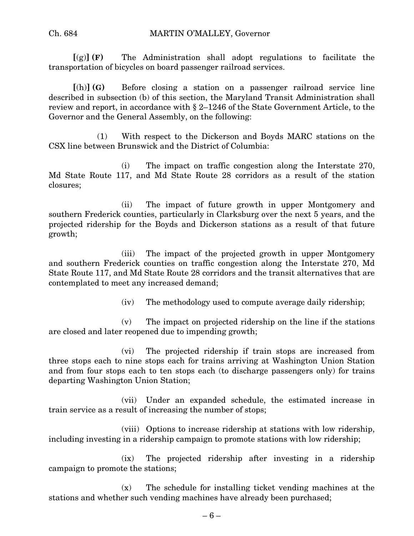#### Ch. 684 MARTIN O'MALLEY, Governor

**[**(g)**] (F)** The Administration shall adopt regulations to facilitate the transportation of bicycles on board passenger railroad services.

**[**(h)**] (G)** Before closing a station on a passenger railroad service line described in subsection (b) of this section, the Maryland Transit Administration shall review and report, in accordance with § 2–1246 of the State Government Article, to the Governor and the General Assembly, on the following:

(1) With respect to the Dickerson and Boyds MARC stations on the CSX line between Brunswick and the District of Columbia:

(i) The impact on traffic congestion along the Interstate 270, Md State Route 117, and Md State Route 28 corridors as a result of the station closures;

(ii) The impact of future growth in upper Montgomery and southern Frederick counties, particularly in Clarksburg over the next 5 years, and the projected ridership for the Boyds and Dickerson stations as a result of that future growth;

(iii) The impact of the projected growth in upper Montgomery and southern Frederick counties on traffic congestion along the Interstate 270, Md State Route 117, and Md State Route 28 corridors and the transit alternatives that are contemplated to meet any increased demand;

(iv) The methodology used to compute average daily ridership;

(v) The impact on projected ridership on the line if the stations are closed and later reopened due to impending growth;

(vi) The projected ridership if train stops are increased from three stops each to nine stops each for trains arriving at Washington Union Station and from four stops each to ten stops each (to discharge passengers only) for trains departing Washington Union Station;

(vii) Under an expanded schedule, the estimated increase in train service as a result of increasing the number of stops;

(viii) Options to increase ridership at stations with low ridership, including investing in a ridership campaign to promote stations with low ridership;

(ix) The projected ridership after investing in a ridership campaign to promote the stations;

(x) The schedule for installing ticket vending machines at the stations and whether such vending machines have already been purchased;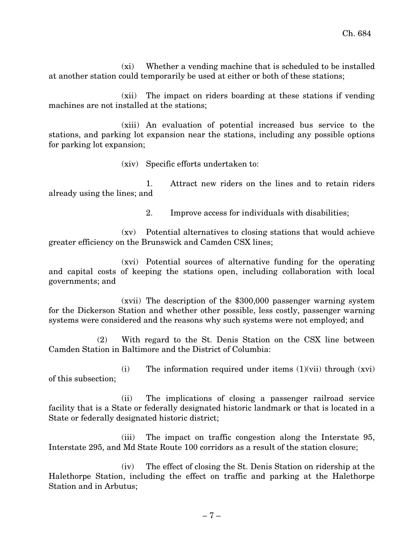(xi) Whether a vending machine that is scheduled to be installed at another station could temporarily be used at either or both of these stations;

(xii) The impact on riders boarding at these stations if vending machines are not installed at the stations;

(xiii) An evaluation of potential increased bus service to the stations, and parking lot expansion near the stations, including any possible options for parking lot expansion;

(xiv) Specific efforts undertaken to:

1. Attract new riders on the lines and to retain riders already using the lines; and

2. Improve access for individuals with disabilities;

(xv) Potential alternatives to closing stations that would achieve greater efficiency on the Brunswick and Camden CSX lines;

(xvi) Potential sources of alternative funding for the operating and capital costs of keeping the stations open, including collaboration with local governments; and

(xvii) The description of the \$300,000 passenger warning system for the Dickerson Station and whether other possible, less costly, passenger warning systems were considered and the reasons why such systems were not employed; and

(2) With regard to the St. Denis Station on the CSX line between Camden Station in Baltimore and the District of Columbia:

(i) The information required under items (1)(vii) through (xvi) of this subsection;

(ii) The implications of closing a passenger railroad service facility that is a State or federally designated historic landmark or that is located in a State or federally designated historic district;

(iii) The impact on traffic congestion along the Interstate 95, Interstate 295, and Md State Route 100 corridors as a result of the station closure;

(iv) The effect of closing the St. Denis Station on ridership at the Halethorpe Station, including the effect on traffic and parking at the Halethorpe Station and in Arbutus;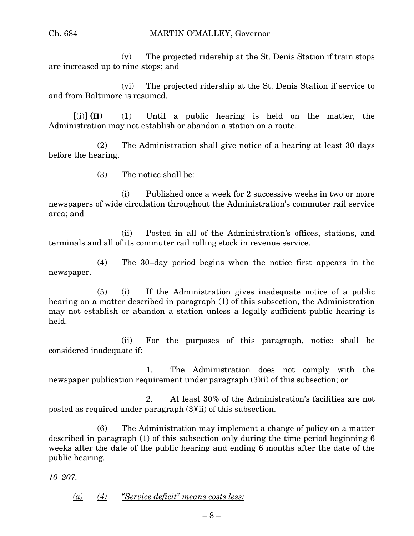(v) The projected ridership at the St. Denis Station if train stops are increased up to nine stops; and

(vi) The projected ridership at the St. Denis Station if service to and from Baltimore is resumed.

**[**(i)**] (H)** (1) Until a public hearing is held on the matter, the Administration may not establish or abandon a station on a route.

(2) The Administration shall give notice of a hearing at least 30 days before the hearing.

(3) The notice shall be:

(i) Published once a week for 2 successive weeks in two or more newspapers of wide circulation throughout the Administration's commuter rail service area; and

(ii) Posted in all of the Administration's offices, stations, and terminals and all of its commuter rail rolling stock in revenue service.

(4) The 30–day period begins when the notice first appears in the newspaper.

(5) (i) If the Administration gives inadequate notice of a public hearing on a matter described in paragraph (1) of this subsection, the Administration may not establish or abandon a station unless a legally sufficient public hearing is held.

(ii) For the purposes of this paragraph, notice shall be considered inadequate if:

1. The Administration does not comply with the newspaper publication requirement under paragraph (3)(i) of this subsection; or

2. At least 30% of the Administration's facilities are not posted as required under paragraph (3)(ii) of this subsection.

(6) The Administration may implement a change of policy on a matter described in paragraph (1) of this subsection only during the time period beginning 6 weeks after the date of the public hearing and ending 6 months after the date of the public hearing.

*10–207.*

*(a) (4) "Service deficit" means costs less:*